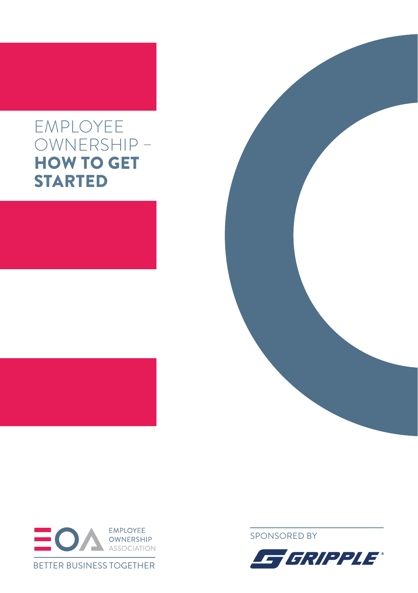### EMPLOYEE OWNERSHIP – HOW TO GET STARTED





[SPONSORED BY](http://www.gripple.co.uk/)

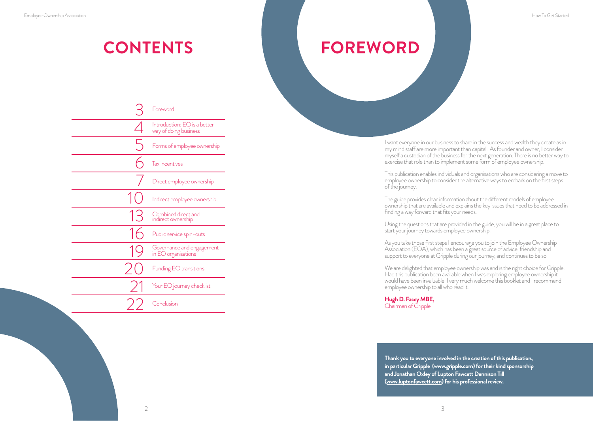### **CONTENTS FOREWORD**

I want everyone in our business to share in the success and wealth they create as in my mind staff are more important than capital. As founder and owner, I consider myself a custodian of the business for the next generation. There is no better way to exercise that role than to implement some form of employee ownership.

This publication enables individuals and organisations who are considering a move to employee ownership to consider the alternative ways to embark on the first steps of the journey.

The guide provides clear information about the different models of employee ownership that are available and explains the key issues that need to be addressed in finding a way forward that fits your needs.

Using the questions that are provided in the guide, you will be in a great place to start your journey towards employee ownership.

As you take those first steps I encourage you to join the Employee Ownership Association (EOA), which has been a great source of advice, friendship and support to everyone at Gripple during our journey, and continues to be so.

We are delighted that employee ownership was and is the right choice for Gripple. Had this publication been available when I was exploring employee ownership it would have been invaluable. I very much welcome this booklet and I recommend employee ownership to all who read it.

**Hugh D. Facey MBE,**  Chairman of Gripple

**Thank you to everyone involved in the creation of this publication, in particular Gripple [\(www.gripple.com](http://www.gripple.co.uk/)) for their kind sponsorship and Jonathan Oxley of Lupton Fawcett Dennison Till [\(www.luptonfawcett.com\)](http://www.luptonfawcett.com/) for his professional review.** 

|       | Foreword                                              |
|-------|-------------------------------------------------------|
|       | Introduction: EO is a better<br>way of doing business |
|       | Forms of employee ownership                           |
|       | Tax incentives                                        |
|       | Direct employee ownership                             |
|       | Indirect employee ownership                           |
| $1 -$ | Combined direct and<br>indirect ownership             |
|       | Public service spin-outs                              |
|       | Governance and engagement<br>in EO organisations      |
|       | Funding EO transitions                                |
|       | Your EO journey checklist                             |
|       | Conclusion                                            |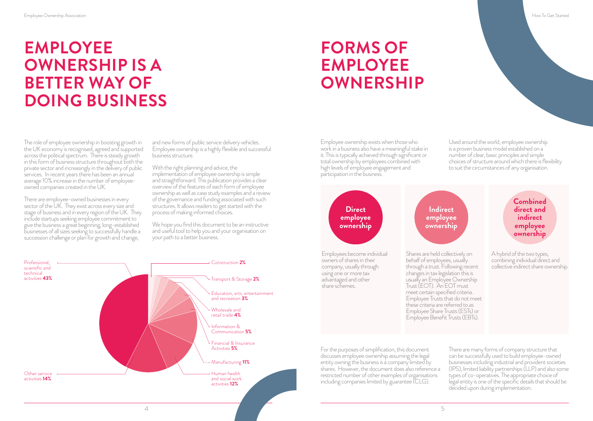## **EMPLOYEE OWNERSHIP IS A BETTER WAY OF DOING BUSINESS**

## **FORMS OF EMPLOYEE OWNERSHIP**

The role of employee ownership in boosting growth in the UK economy is recognised, agreed and supported across the political spectrum. There is steady growth in this form of business structure throughout both the private sector and increasingly in the delivery of public services. In recent years there has been an annual average 10% increase in the number of employeeowned companies created in the UK.

There are employee-owned businesses in every sector of the UK. They exist across every size and stage of business and in every region of the UK. They include startups seeking employee commitment to give the business a great beginning, long-established businesses of all sizes seeking to successfully handle a succession challenge or plan for growth and change.

and new forms of public service delivery vehicles. Employee ownership is a highly flexible and successful business structure.

With the right planning and advice, the implementation of employee ownership is simple and straightforward. This publication provides a clear overview of the features of each form of employee ownership as well as case study examples and a review of the governance and funding associated with such structures. It allows readers to get started with the process of making informed choices.

We hope you find this document to be an instructive and useful tool to help you and your organisation on your path to a better business.



Employee ownership exists when those who work in a business also have a meaningful stake in it. This is typically achieved through significant or total ownership by employees combined with high levels of employee engagement and participation in the business.

Used around the world, employee ownership is a proven business model established on a number of clear, basic principles and simple choices of structure around which there is flexibility to suit the circumstances of any organisation.



For the purposes of simplification, this document discusses employee ownership assuming the legal entity owning the business is a company limited by shares. However, the document does also reference a restricted number of other examples of organisations including companies limited by guarantee (CLG).

can be successfully used to build employee-owned businesses including industrial and provident societies (IPS), limited liability partnerships (LLP) and also some types of co-operatives. The appropriate choice of legal entity is one of the specific details that should be decided upon during implementation.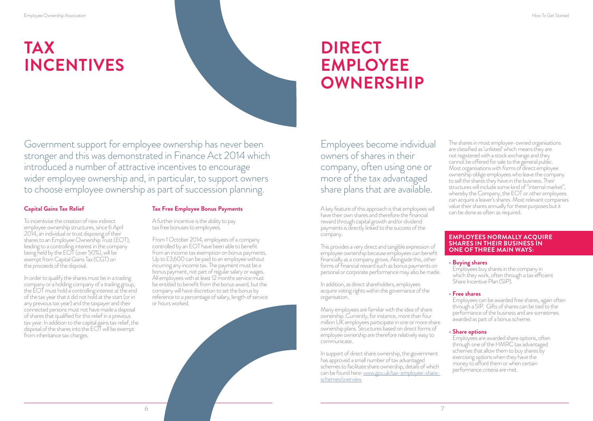# **TAX INCENTIVES**



Government support for employee ownership has never been stronger and this was demonstrated in Finance Act 2014 which introduced a number of attractive incentives to encourage wider employee ownership and, in particular, to support owners to choose employee ownership as part of succession planning.

#### **Capital Gains Tax Relief**

To incentivise the creation of new indirect employee ownership structures, since 6 April 2014, an individual or trust disposing of their shares to an Employee Ownership Trust (EOT), leading to a controlling interest in the company being held by the EOT (over 50%), will be exempt from Capital Gains Tax (CGT) on the proceeds of the disposal.

In order to qualify the shares must be in a trading company or a holding company of a trading group, the EOT must hold a controlling interest at the end of the tax year that it did not hold at the start (or in any previous tax year) and the taxpayer and their connected persons must not have made a disposal of shares that qualified for this relief in a previous tax year. In addition to the capital gains tax relief, the disposal of the shares into the EOT will be exempt from inheritance tax charges.

#### **Tax Free Employee Bonus Payments**

A further incentive is the ability to pay tax free bonuses to employees.

From 1 October 2014, employees of a company controlled by an EOT have been able to benefit from an income tax exemption on bonus payments. Up to £3,600 can be paid to an employee without incurring any income tax. The payment must be a bonus payment, not part of regular salary or wages. All employees with at least 12 months service must be entitled to benefit from the bonus award, but the company will have discretion to set the bonus by reference to a percentage of salary, length of service or hours worked.

Employees become individual owners of shares in their company, often using one or more of the tax advantaged share plans that are available.

**DIRECT** 

**EMPLOYEE** 

**OWNERSHIP**

A key feature of this approach is that employees will have their own shares and therefore the financial reward through capital growth and/or dividend payments is directly linked to the success of the company.

This provides a very direct and tangible expression of employee ownership because employees can benefit financially as a company grows. Alongside this, other forms of financial reward such as bonus payments on personal or corporate performance may also be made.

In addition, as direct shareholders, employees acquire voting rights within the governance of the organisation.

Many employees are familiar with the idea of share ownership. Currently, for instance, more than four million UK employees participate in one or more share ownership plans. Structures based on direct forms of employee ownership are therefore relatively easy to communicate.

In support of direct share ownership, the government has approved a small number of tax advantaged schemes to facilitate share ownership, details of which can be found here: [www.gov.uk/tax-employee-share](https://www.gov.uk/tax-employee-share-schemes/overview)[schemes/overview](https://www.gov.uk/tax-employee-share-schemes/overview)

The shares in most employee-owned organisations are classified as 'unlisted' which means they are not registered with a stock exchange and they cannot be offered for sale to the general public. Most organisations with forms of direct employee ownership oblige employees who leave the company to sell the shares they have in the business. Their structures will include some kind of "internal market", whereby the Company, the EOT or other employees can acquire a leaver's shares. Most relevant companies value their shares annually for these purposes but it can be done as often as required.

#### **EMPLOYEES NORMALLY ACQUIRE SHARES IN THEIR BUSINESS IN ONE OF THREE MAIN WAYS:**

#### **- Buying shares**

Employees buy shares in the company in which they work, often through a tax efficient Share Incentive Plan (SIP).

#### **- Free shares**

Employees can be awarded free shares, again often through a SIP. Gifts of shares can be tied to the performance of the business and are sometimes awarded as part of a bonus scheme.

#### **- Share options**

Employees are awarded share options, often through one of the HMRC tax advantaged schemes that allow them to buy shares by exercising options when they have the money to afford them or when certain performance criteria are met.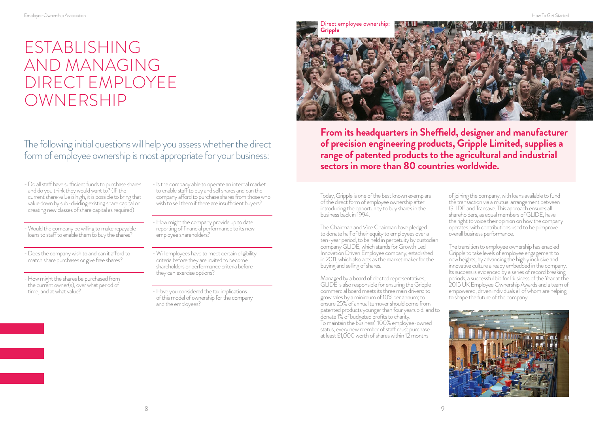### ESTABLISHING AND MANAGING DIRECT EMPLOYEE OWNERSHIP

The following initial questions will help you assess whether the direct form of employee ownership is most appropriate for your business:

- Do all staff have sufficient funds to purchase shares and do you think they would want to? (If the current share value is high, it is possible to bring that value down by sub-dividing existing share capital or creating new classes of share capital as required)

- Would the company be willing to make repayable loans to staff to enable them to buy the shares?

- Does the company wish to and can it afford to match share purchases or give free shares?

- How might the shares be purchased from the current owner(s), over what period of time, and at what value?

- Is the company able to operate an internal market to enable staff to buy and sell shares and can the company afford to purchase shares from those who wish to sell them if there are insufficient buyers?
- How might the company provide up to date reporting of financial performance to its new employee shareholders?
- Will employees have to meet certain eligibility criteria before they are invited to become shareholders or performance criteria before they can exercise options?
- Have you considered the tax implications of this model of ownership for the company and the employees?



**From its headquarters in Sheffield, designer and manufacturer of precision engineering products, Gripple Limited, supplies a range of patented products to the agricultural and industrial sectors in more than 80 countries worldwide.**

Today, Gripple is one of the best known exemplars of the direct form of employee ownership after introducing the opportunity to buy shares in the business back in 1994.

The Chairman and Vice Chairman have pledged to donate half of their equity to employees over a ten-year period, to be held in perpetuity by custodian company GLIDE, which stands for Growth Led Innovation Driven Employee company, established in 2011, which also acts as the market maker for the buying and selling of shares.

Managed by a board of elected representatives, GLIDE is also responsible for ensuring the Gripple commercial board meets its three main drivers: to grow sales by a minimum of 10% per annum; to ensure 25% of annual turnover should come from patented products younger than four years old, and to donate 1% of budgeted profits to charity. To maintain the business' 100% employee-owned status, every new member of staff must purchase at least £1,000 worth of shares within 12 months

of joining the company, with loans available to fund the transaction via a mutual arrangement between GLIDE and Transave. This approach ensures all shareholders, as equal members of GLIDE, have the right to voice their opinion on how the company operates, with contributions used to help improve overall business performance.

The transition to employee ownership has enabled Gripple to take levels of employee engagement to new heights, by advancing the highly inclusive and innovative culture already embedded in the company. Its success is evidenced by a series of record breaking periods, a successful bid for Business of the Year at the 2015 UK Employee Ownership Awards and a team of empowered, driven individuals all of whom are helping to shape the future of the company.

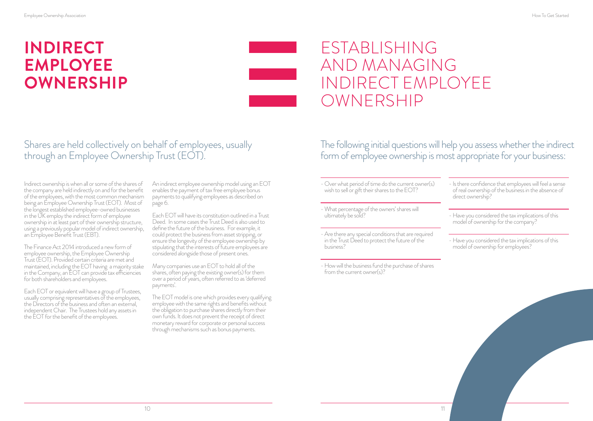# **INDIRECT EMPLOYEE OWNERSHIP**

### ESTABLISHING AND MANAGING INDIRECT EMPLOYEE OWNERSHIP

### Shares are held collectively on behalf of employees, usually through an Employee Ownership Trust (EOT).

Indirect ownership is when all or some of the shares of the company are held indirectly on and for the benefit of the employees, with the most common mechanism being an Employee Ownership Trust (EOT). Most of the longest established employee-owned businesses in the UK employ the indirect form of employee ownership in at least part of their ownership structure, using a previously popular model of indirect ownership, an Employee Benefit Trust (EBT).

The Finance Act 2014 introduced a new form of employee ownership, the Employee Ownership Trust (EOT). Provided certain criteria are met and maintained, including the EOT having a majority stake in the Company, an EOT can provide tax efficiencies for both shareholders and employees.

Each EOT or equivalent will have a group of Trustees, usually comprising representatives of the employees, the Directors of the business and often an external, independent Chair. The Trustees hold any assets in the EOT for the benefit of the employees.

An indirect employee ownership model using an EOT enables the payment of tax free employee bonus payments to qualifying employees as described on page 6.

Each EOT will have its constitution outlined in a Trust Deed. In some cases the Trust Deed is also used to define the future of the business. For example, it could protect the business from asset stripping, or ensure the longevity of the employee ownership by stipulating that the interests of future employees are considered alongside those of present ones.

Many companies use an EOT to hold all of the shares, often paying the existing owner(s) for them over a period of years, often referred to as 'deferred payments'.

The EOT model is one which provides every qualifying employee with the same rights and benefits without the obligation to purchase shares directly from their own funds. It does not prevent the receipt of direct monetary reward for corporate or personal success through mechanisms such as bonus payments.

The following initial questions will help you assess whether the indirect form of employee ownership is most appropriate for your business:

- Over what period of time do the current owner(s) wish to sell or gift their shares to the EOT?

- What percentage of the owners' shares will ultimately be sold?

- Are there any special conditions that are required in the Trust Deed to protect the future of the business?

- How will the business fund the purchase of shares from the current owner(s)?

- Is there confidence that employees will feel a sense of real ownership of the business in the absence of direct ownership?

- Have you considered the tax implications of this model of ownership for the company?

- Have you considered the tax implications of this model of ownership for employees?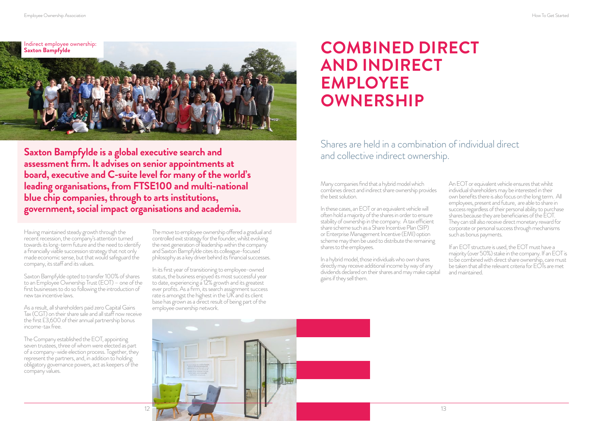

**Saxton Bampfylde is a global executive search and assessment firm. It advises on senior appointments at board, executive and C-suite level for many of the world's leading organisations, from FTSE100 and multi-national blue chip companies, through to arts institutions, government, social impact organisations and academia.**

Having maintained steady growth through the recent recession, the company's attention turned towards its long-term future and the need to identify a financially viable succession strategy that not only made economic sense, but that would safeguard the company, its staff and its values.

Saxton Bampfylde opted to transfer 100% of shares to an Employee Ownership Trust (EOT) – one of the first businesses to do so following the introduction of new tax incentive laws.

As a result, all shareholders paid zero Capital Gains Tax (CGT) on their share sale and all staff now receive the first £3,600 of their annual partnership bonus income-tax free.

The Company established the EOT, appointing seven trustees, three of whom were elected as part of a company-wide election process. Together, they represent the partners, and, in addition to holding obligatory governance powers, act as keepers of the company values.

The move to employee ownership offered a gradual and controlled exit strategy for the founder, whilst evolving the next generation of leadership within the company and Saxton Bampfylde cites its colleague-focused philosophy as a key driver behind its financial successes.

In its first year of transitioning to employee-owned status, the business enjoyed its most successful year to date, experiencing a 12% growth and its greatest ever profits. As a firm, its search assignment success rate is amongst the highest in the UK and its client base has grown as a direct result of being part of the employee ownership network.

### **COMBINED DIRECT AND INDIRECT EMPLOYEE OWNERSHIP**

Shares are held in a combination of individual direct and collective indirect ownership.

Many companies find that a hybrid model which combines direct and indirect share ownership provides the best solution.

In these cases, an EOT or an equivalent vehicle will often hold a majority of the shares in order to ensure stability of ownership in the company. A tax efficient share scheme such as a Share Incentive Plan (SIP) or Enterprise Management Incentive (EMI) option scheme may then be used to distribute the remaining shares to the employees.

In a hybrid model, those individuals who own shares directly may receive additional income by way of any dividends declared on their shares and may make capital gains if they sell them.

An EOT or equivalent vehicle ensures that whilst individual shareholders may be interested in their own benefits there is also focus on the long term. All employees, present and future, are able to share in success regardless of their personal ability to purchase shares because they are beneficiaries of the EOT. They can still also receive direct monetary reward for corporate or personal success through mechanisms such as bonus payments.

If an EOT structure is used, the EOT must have a majority (over 50%) stake in the company. If an EOT is to be combined with direct share ownership, care must be taken that all the relevant criteria for  $E\overline{O1}$ s are met and maintained.

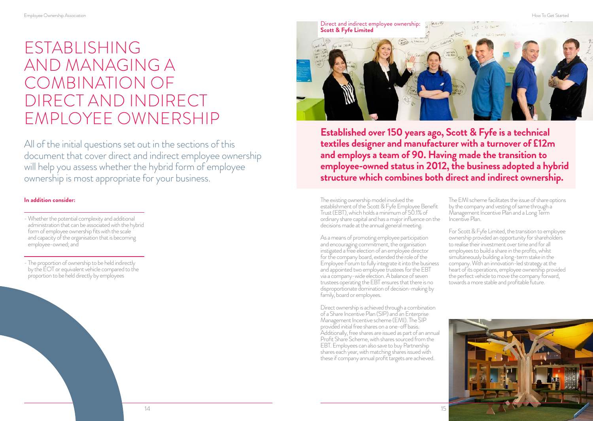### ESTABLISHING AND MANAGING A COMBINATION OF DIRECT AND INDIRECT EMPLOYEE OWNERSHIP

All of the initial questions set out in the sections of this document that cover direct and indirect employee ownership will help you assess whether the hybrid form of employee ownership is most appropriate for your business.

#### **In addition consider:**

- Whether the potential complexity and additional administration that can be associated with the hybrid form of employee ownership fits with the scale and capacity of the organisation that is becoming employee-owned; and

- The proportion of ownership to be held indirectly by the EOT or equivalent vehicle compared to the proportion to be held directly by employees



**Established over 150 years ago, Scott & Fyfe is a technical textiles designer and manufacturer with a turnover of £12m and employs a team of 90. Having made the transition to employee-owned status in 2012, the business adopted a hybrid structure which combines both direct and indirect ownership.**

The existing ownership model involved the establishment of the Scott & Fyfe Employee Benefit Trust (EBT), which holds a minimum of 50.1% of ordinary share capital and has a major influence on the decisions made at the annual general meeting.

As a means of promoting employee participation and encouraging commitment, the organisation instigated a free election of an employee director for the company board, extended the role of the Employee Forum to fully integrate it into the business and appointed two employee trustees for the EBT via a company-wide election. A balance of seven trustees operating the EBT ensures that there is no disproportionate domination of decision-making by family, board or employees.

Direct ownership is achieved through a combination of a Share Incentive Plan (SIP) and an Enterprise Management Incentive scheme (EMI). The SIP provided initial free shares on a one-off basis. Additionally, free shares are issued as part of an annual Profit Share Scheme, with shares sourced from the EBT. Employees can also save to buy Partnership shares each year, with matching shares issued with these if company annual profit targets are achieved.

The EMI scheme facilitates the issue of share options by the company and vesting of same through a Management Incentive Plan and a Long Term Incentive Plan.

For Scott & Fyfe Limited, the transition to employee ownership provided an opportunity for shareholders to realise their investment over time and for all employees to build a share in the profits, whilst simultaneously building a long-term stake in the company. With an innovation-led strategy at the heart of its operations, employee ownership provided the perfect vehicle to move the company forward, towards a more stable and profitable future.

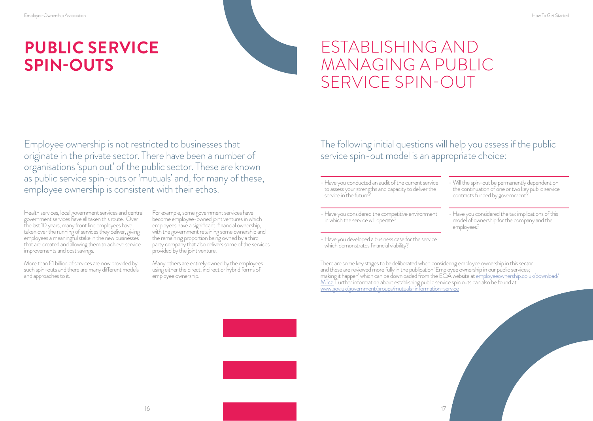# **PUBLIC SERVICE SPIN-OUTS**

## ESTABLISHING AND MANAGING A PUBLIC SERVICE SPIN-OUT

Employee ownership is not restricted to businesses that originate in the private sector. There have been a number of organisations 'spun out' of the public sector. These are known as public service spin-outs or 'mutuals' and, for many of these, employee ownership is consistent with their ethos.

Health services, local government services and central government services have all taken this route. Over the last 10 years, many front line employees have taken over the running of services they deliver, giving employees a meaningful stake in the new businesses that are created and allowing them to achieve service improvements and cost savings.

More than £1 billion of services are now provided by such spin-outs and there are many different models and approaches to it.

For example, some government services have become employee-owned joint ventures in which employees have a significant financial ownership, with the government retaining some ownership and the remaining proportion being owned by a third party company that also delivers some of the services provided by the joint venture.

Many others are entirely owned by the employees using either the direct, indirect or hybrid forms of employee ownership.

The following initial questions will help you assess if the public service spin-out model is an appropriate choice:

- Have you conducted an audit of the current service to assess your strengths and capacity to deliver the service in the future?

- Have you considered the competitive environment in which the service will operate?

- Have you developed a business case for the service which demonstrates financial viability?

- Will the spin-out be permanently dependent on the continuation of one or two key public service contracts funded by government?

- Have you considered the tax implications of this model of ownership for the company and the employees?

There are some key stages to be deliberated when considering employee ownership in this sector and these are reviewed more fully in the publication 'Employee ownership in our public services; [MTcz.](http://employeeownership.co.uk/resources/reports/) [Further information about establishing public service spin](https://www.gov.uk/government/groups/mutuals-information-service) outs can also be found at<br>[www.gov.uk/government/groups/mutuals-information-service](https://www.gov.uk/government/groups/mutuals-information-service)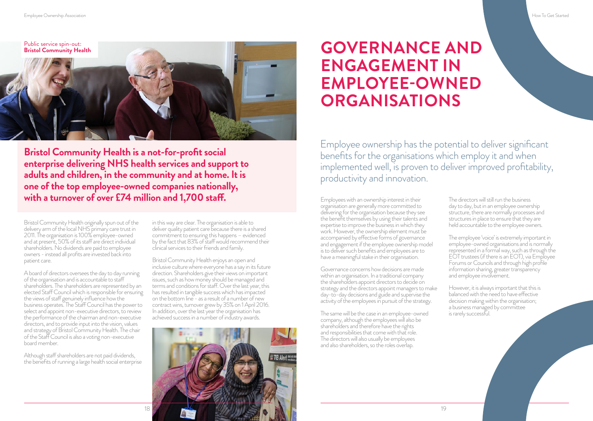Public service spin-out: **[Bristol Community Health](http://briscomhealth.org.uk/)**

**Bristol Community Health is a not-for-profit social enterprise delivering NHS health services and support to adults and children, in the community and at home. It is one of the top employee-owned companies nationally, with a turnover of over £74 million and 1,700 staff. Employees with an ownership interest in their** 

Bristol Community Health originally spun out of the delivery arm of the local NHS primary care trust in 2011. The organisation is 100% employee-owned and at present, 50% of its staff are direct individual shareholders. No dividends are paid to employee owners - instead all profits are invested back into patient care.

A board of directors oversees the day to day running of the organisation and is accountable to staff shareholders. The shareholders are represented by an elected Staff Council which is responsible for ensuring the views of staff genuinely influence how the business operates. The Staff Council has the power to select and appoint non-executive directors, to review the performance of the chairman and non-executive directors, and to provide input into the vision, values and strategy of Bristol Community Health. The chair of the Staff Council is also a voting non-executive board member.

Although staff shareholders are not paid dividends, the benefits of running a large health social enterprise in this way are clear. The organisation is able to deliver quality patient care because there is a shared commitment to ensuring this happens – evidenced by the fact that 83% of staff would recommend their clinical services to their friends and family.

Bristol Community Health enjoys an open and inclusive culture where everyone has a say in its future direction. Shareholders give their views on important issues, such as how money should be managed and terms and conditions for staff. Over the last year, this has resulted in tangible success which has impacted on the bottom line - as a result of a number of new contract wins, turnover grew by 35% on 1 April 2016. In addition, over the last year the organisation has achieved success in a number of industry awards.



### **GOVERNANCE AND ENGAGEMENT IN EMPLOYEE-OWNED ORGANISATIONS**

Employee ownership has the potential to deliver significant benefits for the organisations which employ it and when implemented well, is proven to deliver improved profitability, productivity and innovation.

organisation are generally more committed to delivering for the organisation because they see the benefit themselves by using their talents and expertise to improve the business in which they work. However, the ownership element must be accompanied by effective forms of governance and engagement if the employee ownership model is to deliver such benefits and employees are to have a meaningful stake in their organisation.

Governance concerns how decisions are made within an organisation. In a traditional company the shareholders appoint directors to decide on strategy and the directors appoint managers to make day-to-day decisions and guide and supervise the activity of the employees in pursuit of the strategy.

The same will be the case in an employee-owned company, although the employees will also be shareholders and therefore have the rights and responsibilities that come with that role. The directors will also usually be employees and also shareholders, so the roles overlap.

The directors will still run the business day to day, but in an employee ownership structure, there are normally processes and structures in place to ensure that they are held accountable to the employee owners.

The employee 'voice' is extremely important in employee-owned organisations and is normally represented in a formal way, such as through the EOT trustees (if there is an EOT), via Employee Forums or Councils and through high profile information sharing, greater transparency and employee involvement.

However, it is always important that this is balanced with the need to have effective decision making within the organisation; a business managed by committee is rarely successful.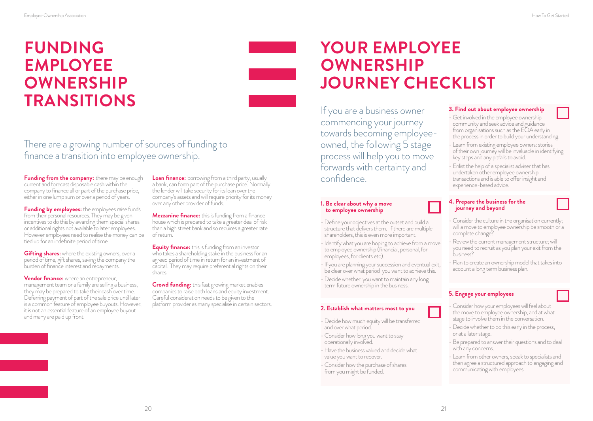### **FUNDING EMPLOYEE OWNERSHIP TRANSITIONS**

There are a growing number of sources of funding to finance a transition into employee ownership.

**Funding from the company:** there may be enough current and forecast disposable cash within the company to finance all or part of the purchase price, either in one lump sum or over a period of years.

**Funding by employees:** the employees raise funds from their personal resources. They may be given incentives to do this by awarding them special shares or additional rights not available to later employees. However employees need to realise the money can be tied up for an indefinite period of time.

**Gifting shares:** where the existing owners, over a period of time, gift shares, saving the company the burden of finance interest and repayments.

**Vendor finance:** where an entrepreneur, management team or a family are selling a business, they may be prepared to take their cash over time. Deferring payment of part of the sale price until later is a common feature of employee buyouts. However, it is not an essential feature of an employee buyout and many are paid up front.

**Loan finance:** borrowing from a third party, usually a bank, can form part of the purchase price. Normally the lender will take security for its loan over the company's assets and will require priority for its money over any other provider of funds.

**Mezzanine finance:** this is funding from a finance house which is prepared to take a greater deal of risk than a high street bank and so requires a greater rate of return.

**Equity finance:** this is funding from an investor who takes a shareholding stake in the business for an agreed period of time in return for an investment of capital. They may require preferential rights on their shares.

**Crowd funding:** this fast growing market enables companies to raise both loans and equity investment. Careful consideration needs to be given to the platform provider as many specialise in certain sectors.

## **YOUR EMPLOYEE OWNERSHIP JOURNEY CHECKLIST**

If you are a business owner commencing your journey towards becoming employeeowned, the following 5 stage process will help you to move forwards with certainty and confidence.

#### **1. Be clear about why a move to employee ownership**

- Define your objectives at the outset and build a structure that delivers them. If there are multiple shareholders, this is even more important.
- Identify what you are hoping to achieve from a move to employee ownership (financial, personal, for employees, for clients etc).
- If you are planning your succession and eventual exit, be clear over what period you want to achieve this.
- Decide whether you want to maintain any long term future ownership in the business.

#### **2. Establish what matters most to you**

- Decide how much equity will be transferred and over what period.
- Consider how long you want to stay operationally involved.
- Have the business valued and decide what value you want to recover.
- Consider how the purchase of shares from you might be funded.

#### **3. Find out about employee ownership**

- Get involved in the employee ownership community and seek advice and guidance from organisations such as the EOA early in the process in order to build your understanding.
- Learn from existing employee owners: stories of their own journey will be invaluable in identifying key steps and any pitfalls to avoid.
- Enlist the help of a specialist adviser that has undertaken other employee ownership transactions and is able to offer insight and experience-based advice.

#### **4. Prepare the business for the journey and beyond**

- Consider the culture in the organisation currently; will a move to employee ownership be smooth or a complete change?
- Review the current management structure; will you need to recruit as you plan your exit from the business?
- Plan to create an ownership model that takes into account a long term business plan.

#### **5. Engage your employees**

- Consider how your employees will feel about the move to employee ownership, and at what stage to involve them in the conversation.
- Decide whether to do this early in the process, or at a later stage.
- Be prepared to answer their questions and to deal with any concerns.
- Learn from other owners, speak to specialists and then agree a structured approach to engaging and communicating with employees.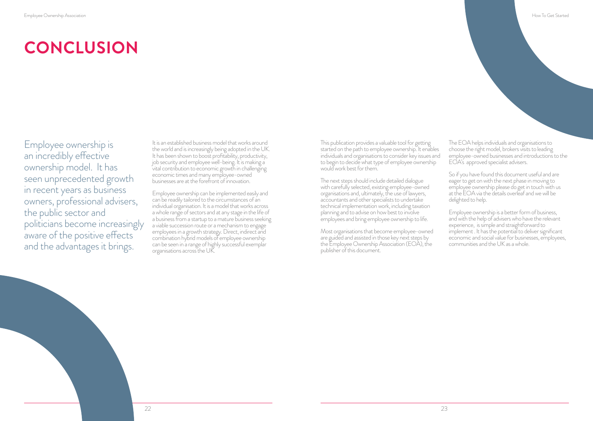Employee ownership is an incredibly effective ownership model. It has seen unprecedented growth in recent years as business owners, professional advisers, the public sector and politicians become increasingly aware of the positive effects and the advantages it brings.

It is an established business model that works around the world and is increasingly being adopted in the UK. It has been shown to boost profitability, productivity, job security and employee well-being. It is making a vital contribution to economic growth in challenging economic times and many employee-owned businesses are at the forefront of innovation.

Employee ownership can be implemented easily and can be readily tailored to the circumstances of an individual organisation. It is a model that works across a whole range of sectors and at any stage in the life of a business from a startup to a mature business seeking a viable succession route or a mechanism to engage employees in a growth strategy. Direct, indirect and combination hybrid models of employee ownership can be seen in a range of highly successful exemplar organisations across the UK.

This publication provides a valuable tool for getting started on the path to employee ownership. It enables individuals and organisations to consider key issues and to begin to decide what type of employee ownership would work best for them.

The next steps should include detailed dialogue with carefully selected, existing employee-owned organisations and, ultimately, the use of lawyers, accountants and other specialists to undertake technical implementation work, including taxation planning and to advise on how best to involve employees and bring employee ownership to life.

Most organisations that become employee-owned are guided and assisted in those key next steps by the Employee Ownership Association (EOA), the publisher of this document.

The EOA helps individuals and organisations to choose the right model, brokers visits to leading employee-owned businesses and introductions to the EOA's approved specialist advisers.

So if you have found this document useful and are eager to get on with the next phase in moving to employee ownership please do get in touch with us at the EOA via the details overleaf and we will be delighted to help.

Employee ownership is a better form of business, and with the help of advisers who have the relevant experience, is simple and straightforward to implement . It has the potential to deliver significant economic and social value for businesses, employees, communities and the UK as a whole.